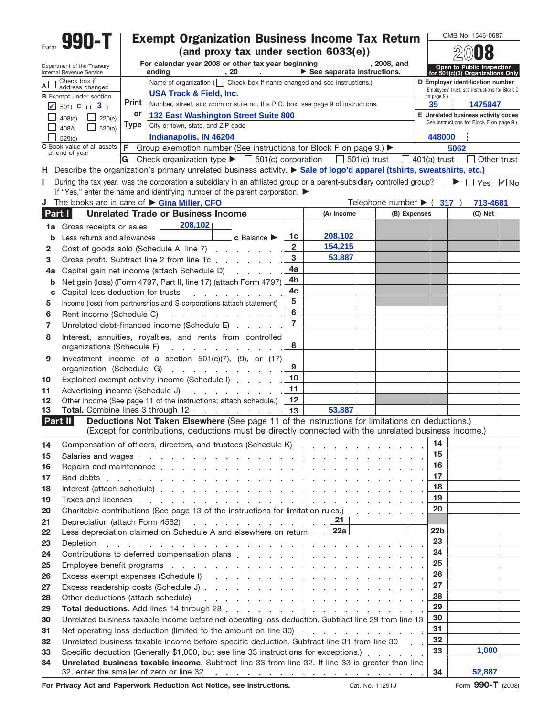|          | 990-T                                                  |                                                                                                         | <b>Exempt Organization Business Income Tax Return</b>                                                                                                                                                                                                                                                                            |                     |                                                 |                                          |              |                       | OMB No. 1545-0687                                                                |             |  |  |  |
|----------|--------------------------------------------------------|---------------------------------------------------------------------------------------------------------|----------------------------------------------------------------------------------------------------------------------------------------------------------------------------------------------------------------------------------------------------------------------------------------------------------------------------------|---------------------|-------------------------------------------------|------------------------------------------|--------------|-----------------------|----------------------------------------------------------------------------------|-------------|--|--|--|
|          |                                                        | (and proxy tax under section 6033(e))<br>For calendar year 2008 or other tax year beginning , 2008, and |                                                                                                                                                                                                                                                                                                                                  |                     |                                                 |                                          |              |                       |                                                                                  |             |  |  |  |
|          | Department of the Treasury<br>Internal Revenue Service | $\triangleright$ See separate instructions.<br>ending<br>,20                                            |                                                                                                                                                                                                                                                                                                                                  |                     |                                                 |                                          |              |                       | Open to Public Inspection<br>for 501(c)(3) Organizations Only                    |             |  |  |  |
| A∟       | Check box if<br>address changed                        |                                                                                                         | Name of organization ( $\Box$ Check box if name changed and see instructions.)                                                                                                                                                                                                                                                   |                     |                                                 |                                          |              |                       | D Employer identification number                                                 |             |  |  |  |
|          | <b>B</b> Exempt under section                          |                                                                                                         | <b>USA Track &amp; Field, Inc.</b>                                                                                                                                                                                                                                                                                               | on page 9.)         | (Employees' trust, see instructions for Block D |                                          |              |                       |                                                                                  |             |  |  |  |
|          | $\sqrt{501(}$ C $)($ 3 $)$                             | Print                                                                                                   | Number, street, and room or suite no. If a P.O. box, see page 9 of instructions.                                                                                                                                                                                                                                                 | 35                  | 1475847                                         |                                          |              |                       |                                                                                  |             |  |  |  |
|          | 408(e)<br>220(e)                                       | or                                                                                                      | <b>132 East Washington Street Suite 800</b>                                                                                                                                                                                                                                                                                      |                     |                                                 |                                          |              |                       | E Unrelated business activity codes<br>(See instructions for Block E on page 9.) |             |  |  |  |
|          | 408A<br>530(a)                                         | Type                                                                                                    | City or town, state, and ZIP code                                                                                                                                                                                                                                                                                                |                     |                                                 |                                          |              | 448000                |                                                                                  |             |  |  |  |
|          | Indianapolis, IN 46204<br>529(a)                       |                                                                                                         |                                                                                                                                                                                                                                                                                                                                  |                     |                                                 |                                          |              |                       |                                                                                  |             |  |  |  |
|          | C Book value of all assets<br>at end of year           | F                                                                                                       | Group exemption number (See instructions for Block F on page 9.) ▶                                                                                                                                                                                                                                                               |                     |                                                 |                                          |              |                       | 5062                                                                             |             |  |  |  |
|          |                                                        | G                                                                                                       | Check organization type $\triangleright$ $\square$ 501(c) corporation<br>H Describe the organization's primary unrelated business activity. > Sale of logo'd apparel (tshirts, sweatshirts, etc.)                                                                                                                                |                     |                                                 | $501(c)$ trust                           |              | $401(a)$ trust        |                                                                                  | Other trust |  |  |  |
| п        |                                                        |                                                                                                         | During the tax year, was the corporation a subsidiary in an affiliated group or a parent-subsidiary controlled group? $\Box \triangleright \Box$ Yes $\Box$ No                                                                                                                                                                   |                     |                                                 |                                          |              |                       |                                                                                  |             |  |  |  |
|          |                                                        |                                                                                                         | If "Yes," enter the name and identifying number of the parent corporation.                                                                                                                                                                                                                                                       |                     |                                                 |                                          |              |                       |                                                                                  |             |  |  |  |
|          |                                                        |                                                                                                         | J The books are in care of Gina Miller, CFO                                                                                                                                                                                                                                                                                      |                     |                                                 | Telephone number $\blacktriangleright$ ( |              |                       | 713-4681<br>317)                                                                 |             |  |  |  |
| Part I   |                                                        |                                                                                                         | <b>Unrelated Trade or Business Income</b>                                                                                                                                                                                                                                                                                        |                     | (A) Income                                      |                                          | (B) Expenses |                       | (C) Net                                                                          |             |  |  |  |
| 1a       | Gross receipts or sales                                |                                                                                                         | 208,102                                                                                                                                                                                                                                                                                                                          |                     |                                                 |                                          |              |                       |                                                                                  |             |  |  |  |
| b        |                                                        |                                                                                                         |                                                                                                                                                                                                                                                                                                                                  | 1c                  | 208,102                                         |                                          |              |                       |                                                                                  |             |  |  |  |
| 2        |                                                        |                                                                                                         | Cost of goods sold (Schedule A, line 7) [19] Cost of goods sold (Schedule A, line 7)                                                                                                                                                                                                                                             | $\overline{2}$      | 154,215                                         |                                          |              |                       |                                                                                  |             |  |  |  |
| З        |                                                        |                                                                                                         | Gross profit. Subtract line 2 from line 1c                                                                                                                                                                                                                                                                                       | 3                   | 53,887                                          |                                          |              |                       |                                                                                  |             |  |  |  |
| 4a       |                                                        |                                                                                                         | Capital gain net income (attach Schedule D)                                                                                                                                                                                                                                                                                      | 4a                  |                                                 |                                          |              |                       |                                                                                  |             |  |  |  |
| b        |                                                        |                                                                                                         | Net gain (loss) (Form 4797, Part II, line 17) (attach Form 4797)                                                                                                                                                                                                                                                                 | 4 <sub>b</sub>      |                                                 |                                          |              |                       |                                                                                  |             |  |  |  |
| C        | Capital loss deduction for trusts                      |                                                                                                         | and a state and a state                                                                                                                                                                                                                                                                                                          | 4c                  |                                                 |                                          |              |                       |                                                                                  |             |  |  |  |
| 5        |                                                        |                                                                                                         | Income (loss) from partnerships and S corporations (attach statement)                                                                                                                                                                                                                                                            | 5                   |                                                 |                                          |              |                       |                                                                                  |             |  |  |  |
| 6        | Rent income (Schedule C)                               |                                                                                                         | and a straightful contract and a                                                                                                                                                                                                                                                                                                 | 6<br>$\overline{7}$ |                                                 |                                          |              |                       |                                                                                  |             |  |  |  |
| 7        |                                                        |                                                                                                         | Unrelated debt-financed income (Schedule E)                                                                                                                                                                                                                                                                                      |                     |                                                 |                                          |              |                       |                                                                                  |             |  |  |  |
| 8        | organizations (Schedule F)                             |                                                                                                         | Interest, annuities, royalties, and rents from controlled<br>the contract of the contract of the                                                                                                                                                                                                                                 | 8                   |                                                 |                                          |              |                       |                                                                                  |             |  |  |  |
| 9        |                                                        |                                                                                                         | Investment income of a section $501(c)(7)$ , $(9)$ , or $(17)$                                                                                                                                                                                                                                                                   | 9                   |                                                 |                                          |              |                       |                                                                                  |             |  |  |  |
|          |                                                        |                                                                                                         | organization (Schedule G)                                                                                                                                                                                                                                                                                                        | 10                  |                                                 |                                          |              |                       |                                                                                  |             |  |  |  |
| 10<br>11 | Advertising income (Schedule J)                        |                                                                                                         | Exploited exempt activity income (Schedule I)                                                                                                                                                                                                                                                                                    | 11                  |                                                 |                                          |              |                       |                                                                                  |             |  |  |  |
| 12       |                                                        |                                                                                                         | and a state of the<br>Other income (See page 11 of the instructions; attach schedule.)                                                                                                                                                                                                                                           | 12                  |                                                 |                                          |              |                       |                                                                                  |             |  |  |  |
| 13       |                                                        |                                                                                                         | Total. Combine lines 3 through 12                                                                                                                                                                                                                                                                                                | 13                  | 53,887                                          |                                          |              |                       |                                                                                  |             |  |  |  |
|          | Part II                                                |                                                                                                         | Deductions Not Taken Elsewhere (See page 11 of the instructions for limitations on deductions.)<br>(Except for contributions, deductions must be directly connected with the unrelated business income.)                                                                                                                         |                     |                                                 |                                          |              |                       |                                                                                  |             |  |  |  |
| 14       |                                                        |                                                                                                         |                                                                                                                                                                                                                                                                                                                                  |                     |                                                 |                                          |              | 14                    |                                                                                  |             |  |  |  |
| 15       |                                                        |                                                                                                         |                                                                                                                                                                                                                                                                                                                                  |                     |                                                 |                                          |              | 15                    |                                                                                  |             |  |  |  |
| 16       |                                                        |                                                                                                         |                                                                                                                                                                                                                                                                                                                                  |                     |                                                 |                                          |              | 16                    |                                                                                  |             |  |  |  |
| 17       |                                                        |                                                                                                         |                                                                                                                                                                                                                                                                                                                                  |                     |                                                 |                                          |              | 17                    |                                                                                  |             |  |  |  |
| 18       |                                                        |                                                                                                         |                                                                                                                                                                                                                                                                                                                                  |                     |                                                 |                                          |              | 18                    |                                                                                  |             |  |  |  |
| 19       |                                                        |                                                                                                         | Taxes and licenses entering to the contract of the contract of the contract of the contract of the contract of the contract of the contract of the contract of the contract of the contract of the contract of the contract of                                                                                                   |                     |                                                 |                                          |              | 19                    |                                                                                  |             |  |  |  |
| 20       |                                                        |                                                                                                         | Charitable contributions (See page 13 of the instructions for limitation rules.)                                                                                                                                                                                                                                                 |                     |                                                 |                                          |              | 20                    |                                                                                  |             |  |  |  |
| 21       |                                                        |                                                                                                         | Depreciation (attach Form 4562) $\qquad \qquad$ $\qquad \qquad$ $\qquad$ $\qquad$ $\qquad$ $\qquad$ $\qquad$ $\qquad$ $\qquad$ $\qquad$ $\qquad$ $\qquad$ $\qquad$ $\qquad$ $\qquad$ $\qquad$ $\qquad$ $\qquad$ $\qquad$ $\qquad$ $\qquad$ $\qquad$ $\qquad$ $\qquad$ $\qquad$ $\qquad$ $\qquad$ $\qquad$ $\qquad$ $\qquad$ $\q$ |                     |                                                 |                                          |              |                       |                                                                                  |             |  |  |  |
| 22       |                                                        |                                                                                                         | Less depreciation claimed on Schedule A and elsewhere on return [22a]                                                                                                                                                                                                                                                            |                     |                                                 |                                          |              | 22 <sub>b</sub><br>23 |                                                                                  |             |  |  |  |
| 23       |                                                        |                                                                                                         | Depletion research and a series and a series are considered as a series of the Depletion of the series of the series of the series of the series of the series of the series of the series of the series of the series of the                                                                                                    |                     |                                                 |                                          |              | 24                    |                                                                                  |             |  |  |  |
| 24       |                                                        |                                                                                                         | Contributions to deferred compensation plans enterstanding to the contributions to deferred compensation plans                                                                                                                                                                                                                   |                     |                                                 |                                          |              | 25                    |                                                                                  |             |  |  |  |
| 25       |                                                        |                                                                                                         | Employee benefit programs enterstanding to the contract of the contract of the contract of the contract of the contract of the contract of the contract of the contract of the contract of the contract of the contract of the                                                                                                   |                     |                                                 |                                          |              | 26                    |                                                                                  |             |  |  |  |
| 26       |                                                        |                                                                                                         | Excess exempt expenses (Schedule I) experience and a series of the series of the series of the series of the series of the series of the series of the series of the series of the series of the series of the series of the s                                                                                                   |                     |                                                 |                                          |              | 27                    |                                                                                  |             |  |  |  |
| 27<br>28 |                                                        |                                                                                                         |                                                                                                                                                                                                                                                                                                                                  |                     |                                                 |                                          |              | 28                    |                                                                                  |             |  |  |  |
| 29       |                                                        |                                                                                                         |                                                                                                                                                                                                                                                                                                                                  |                     |                                                 |                                          |              | 29                    |                                                                                  |             |  |  |  |
| 30       |                                                        |                                                                                                         | Unrelated business taxable income before net operating loss deduction. Subtract line 29 from line 13                                                                                                                                                                                                                             |                     |                                                 |                                          |              | 30                    |                                                                                  |             |  |  |  |
| 31       |                                                        |                                                                                                         | Net operating loss deduction (limited to the amount on line 30) entitled as a control of the state of the state of the state of the state of the state of the state of the state of the state of the state of the state of the                                                                                                   |                     |                                                 |                                          |              | 31                    |                                                                                  |             |  |  |  |
| 32       |                                                        |                                                                                                         | Unrelated business taxable income before specific deduction. Subtract line 31 from line 30                                                                                                                                                                                                                                       |                     |                                                 |                                          |              | 32                    |                                                                                  |             |  |  |  |
| 33       |                                                        |                                                                                                         | Specific deduction (Generally \$1,000, but see line 33 instructions for exceptions.)                                                                                                                                                                                                                                             |                     |                                                 |                                          |              | 33                    | 1,000                                                                            |             |  |  |  |
| 34       |                                                        |                                                                                                         | Unrelated business taxable income. Subtract line 33 from line 32. If line 33 is greater than line<br>32, enter the smaller of zero or line 32 $\ldots$ $\ldots$ $\ldots$ $\ldots$ $\ldots$ $\ldots$ $\ldots$                                                                                                                     |                     |                                                 |                                          |              | 34                    | 52,887                                                                           |             |  |  |  |

**For Privacy Act and Paperwork Reduction Act Notice, see instructions.**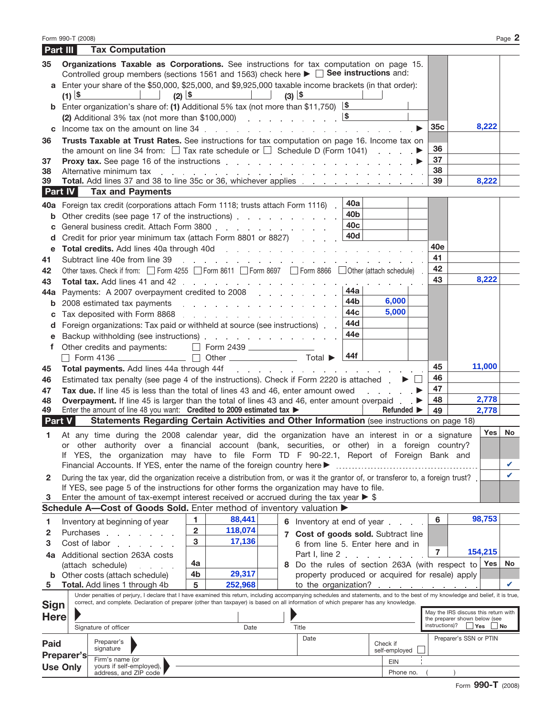| Part III      |                 | <b>Tax Computation</b>                                                                                                                                                                                                              |                                                                                                     |                                                                                                                 |                 |                                                                         |                 |                                                                       |        |    |
|---------------|-----------------|-------------------------------------------------------------------------------------------------------------------------------------------------------------------------------------------------------------------------------------|-----------------------------------------------------------------------------------------------------|-----------------------------------------------------------------------------------------------------------------|-----------------|-------------------------------------------------------------------------|-----------------|-----------------------------------------------------------------------|--------|----|
| 35            |                 | Organizations Taxable as Corporations. See instructions for tax computation on page 15.                                                                                                                                             |                                                                                                     |                                                                                                                 |                 |                                                                         |                 |                                                                       |        |    |
|               |                 | Controlled group members (sections 1561 and 1563) check here $\blacktriangleright \Box$ See instructions and:                                                                                                                       |                                                                                                     |                                                                                                                 |                 |                                                                         |                 |                                                                       |        |    |
|               |                 | a Enter your share of the \$50,000, \$25,000, and \$9,925,000 taxable income brackets (in that order):                                                                                                                              | <u> 1999 - Jan Jan Jan</u>                                                                          |                                                                                                                 |                 |                                                                         |                 |                                                                       |        |    |
|               | $(1)$ $5$       | $(2)$ $\frac{5}{2}$<br><b>b</b> Enter organization's share of: (1) Additional 5% tax (not more than \$11,750) $\boxed{\$}$                                                                                                          |                                                                                                     | $(3)$ $5$                                                                                                       |                 |                                                                         |                 |                                                                       |        |    |
|               |                 |                                                                                                                                                                                                                                     |                                                                                                     |                                                                                                                 |                 |                                                                         |                 |                                                                       |        |    |
|               |                 | <b>c</b> Income tax on the amount on line $34$ . $\ldots$ $\ldots$ $\ldots$ $\ldots$ $\ldots$ $\ldots$ $\ldots$ $\ldots$                                                                                                            |                                                                                                     |                                                                                                                 |                 |                                                                         | 35 <sub>c</sub> |                                                                       | 8,222  |    |
| 36            |                 | Trusts Taxable at Trust Rates. See instructions for tax computation on page 16. Income tax on                                                                                                                                       |                                                                                                     |                                                                                                                 |                 |                                                                         |                 |                                                                       |        |    |
|               |                 | the amount on line 34 from: $\Box$ Tax rate schedule or $\Box$ Schedule D (Form 1041)                                                                                                                                               |                                                                                                     |                                                                                                                 |                 |                                                                         | 36              |                                                                       |        |    |
| 37            |                 | <b>Proxy tax.</b> See page 16 of the instructions entering the set of the set of the set of the set of the set of the set of the set of the set of the set of the set of the set of the set of the set of the set of the set of the |                                                                                                     |                                                                                                                 |                 |                                                                         | 37              |                                                                       |        |    |
| 38            |                 | Alternative minimum tax                                                                                                                                                                                                             | and the second contract of the second contract of the second contract of the second contract of the |                                                                                                                 |                 |                                                                         | 38              |                                                                       |        |    |
| 39<br>Part IV |                 |                                                                                                                                                                                                                                     |                                                                                                     |                                                                                                                 |                 |                                                                         | 39              |                                                                       | 8,222  |    |
|               |                 | <b>Tax and Payments</b>                                                                                                                                                                                                             |                                                                                                     |                                                                                                                 | 40a             |                                                                         |                 |                                                                       |        |    |
| 40a           |                 | Foreign tax credit (corporations attach Form 1118; trusts attach Form 1116).                                                                                                                                                        |                                                                                                     |                                                                                                                 | 40 <sub>b</sub> |                                                                         |                 |                                                                       |        |    |
| b             |                 | Other credits (see page 17 of the instructions) entertainment of the contract of the instructions)<br>General business credit. Attach Form 3800                                                                                     |                                                                                                     |                                                                                                                 | 40 <sub>c</sub> |                                                                         |                 |                                                                       |        |    |
| с<br>d        |                 | Credit for prior year minimum tax (attach Form 8801 or 8827)                                                                                                                                                                        |                                                                                                     |                                                                                                                 | 40d             |                                                                         |                 |                                                                       |        |    |
| е             |                 | Total credits. Add lines 40a through 40d                                                                                                                                                                                            |                                                                                                     | and the state of the state of the state of the state of the state of the state of the state of the state of the |                 |                                                                         | 40e             |                                                                       |        |    |
| 41            |                 | Subtract line 40e from line 39                                                                                                                                                                                                      |                                                                                                     |                                                                                                                 |                 |                                                                         | 41              |                                                                       |        |    |
| 42            |                 | Other taxes. Check if from: Form 4255 Form 8611 Form 8697 Form 8866 Other (attach schedule)                                                                                                                                         |                                                                                                     |                                                                                                                 |                 |                                                                         | 42              |                                                                       |        |    |
| 43            |                 | Total tax. Add lines 41 and 42                                                                                                                                                                                                      |                                                                                                     |                                                                                                                 |                 |                                                                         | 43              |                                                                       | 8,222  |    |
| 44a           |                 | Payments: A 2007 overpayment credited to 2008                                                                                                                                                                                       |                                                                                                     |                                                                                                                 | 44a             |                                                                         |                 |                                                                       |        |    |
| b             |                 | 2008 estimated tax payments expansion and a set of the set of the set of the set of the set of the set of the                                                                                                                       |                                                                                                     |                                                                                                                 | 44b             | 6,000                                                                   |                 |                                                                       |        |    |
| с             |                 | Tax deposited with Form 8868                                                                                                                                                                                                        |                                                                                                     |                                                                                                                 | 44c             | 5,000                                                                   |                 |                                                                       |        |    |
| d             |                 | Foreign organizations: Tax paid or withheld at source (see instructions).                                                                                                                                                           |                                                                                                     |                                                                                                                 | 44d             |                                                                         |                 |                                                                       |        |    |
| е             |                 | Backup withholding (see instructions) enter the state of the state of the state of the state of the state of the state of the state of the state of the state of the state of the state of the state of the state of the state      |                                                                                                     |                                                                                                                 | 44e             |                                                                         |                 |                                                                       |        |    |
| f             |                 | Other credits and payments:                                                                                                                                                                                                         | $\Box$ Form 2439                                                                                    |                                                                                                                 | 44f             |                                                                         |                 |                                                                       |        |    |
| 45            |                 | Form 4136 $\qquad \qquad \Box$<br>Total payments. Add lines 44a through 44f                                                                                                                                                         |                                                                                                     | and the contract of the contract of the contract of                                                             |                 |                                                                         | 45              |                                                                       | 11,000 |    |
| 46            |                 | Estimated tax penalty (see page 4 of the instructions). Check if Form 2220 is attached .                                                                                                                                            |                                                                                                     |                                                                                                                 |                 |                                                                         | 46              |                                                                       |        |    |
| 47            |                 | Tax due. If line 45 is less than the total of lines 43 and 46, enter amount owed                                                                                                                                                    |                                                                                                     |                                                                                                                 |                 |                                                                         | 47              |                                                                       |        |    |
| 48            |                 | Overpayment. If line 45 is larger than the total of lines 43 and 46, enter amount overpaid                                                                                                                                          |                                                                                                     |                                                                                                                 |                 |                                                                         | 48              |                                                                       | 2,778  |    |
| 49            |                 | Enter the amount of line 48 you want: Credited to 2009 estimated tax >                                                                                                                                                              |                                                                                                     |                                                                                                                 |                 | <b>Refunded</b> ▶                                                       | 49              |                                                                       | 2,778  |    |
| <b>Part V</b> |                 | Statements Regarding Certain Activities and Other Information (see instructions on page 18)                                                                                                                                         |                                                                                                     |                                                                                                                 |                 |                                                                         |                 |                                                                       |        |    |
| 1             |                 | At any time during the 2008 calendar year, did the organization have an interest in or a signature                                                                                                                                  |                                                                                                     |                                                                                                                 |                 |                                                                         |                 |                                                                       | Yes    | No |
|               | or              | other authority over a financial account (bank, securities, or other) in a foreign country?                                                                                                                                         |                                                                                                     |                                                                                                                 |                 |                                                                         |                 |                                                                       |        |    |
|               |                 | If YES, the organization may have to file Form TD F 90-22.1, Report of Foreign Bank and<br>Financial Accounts. If YES, enter the name of the foreign country here ▶                                                                 |                                                                                                     |                                                                                                                 |                 |                                                                         |                 |                                                                       |        | V  |
| 2             |                 | During the tax year, did the organization receive a distribution from, or was it the grantor of, or transferor to, a foreign trust?                                                                                                 |                                                                                                     |                                                                                                                 |                 |                                                                         |                 |                                                                       |        | ✓  |
|               |                 | If YES, see page 5 of the instructions for other forms the organization may have to file.                                                                                                                                           |                                                                                                     |                                                                                                                 |                 |                                                                         |                 |                                                                       |        |    |
| 3             |                 | Enter the amount of tax-exempt interest received or accrued during the tax year $\triangleright$ \$                                                                                                                                 |                                                                                                     |                                                                                                                 |                 |                                                                         |                 |                                                                       |        |    |
|               |                 | Schedule A-Cost of Goods Sold. Enter method of inventory valuation >                                                                                                                                                                |                                                                                                     |                                                                                                                 |                 |                                                                         |                 |                                                                       |        |    |
| 1             |                 | Inventory at beginning of year                                                                                                                                                                                                      | 88,441<br>1                                                                                         | 6 Inventory at end of year                                                                                      |                 |                                                                         | 6               | 98,753                                                                |        |    |
| 2             |                 | Purchases                                                                                                                                                                                                                           | 118,074<br>$\mathbf 2$                                                                              | 7 Cost of goods sold. Subtract line                                                                             |                 |                                                                         |                 |                                                                       |        |    |
| 3             |                 | Cost of labor                                                                                                                                                                                                                       | 17,136<br>3                                                                                         | 6 from line 5. Enter here and in                                                                                |                 |                                                                         |                 |                                                                       |        |    |
|               |                 | 4a Additional section 263A costs                                                                                                                                                                                                    |                                                                                                     | Part I, line 2.                                                                                                 |                 |                                                                         | $\overline{7}$  | 154,215                                                               |        |    |
|               |                 | (attach schedule)                                                                                                                                                                                                                   | 4a<br>29,317<br>4b                                                                                  | 8 Do the rules of section 263A (with respect to Yes                                                             |                 |                                                                         |                 |                                                                       |        | No |
| b<br>5        |                 | Other costs (attach schedule)<br><b>Total.</b> Add lines 1 through 4b                                                                                                                                                               | 5<br>252,968                                                                                        |                                                                                                                 |                 | property produced or acquired for resale) apply<br>to the organization? |                 |                                                                       |        | V  |
|               |                 | Under penalties of perjury, I declare that I have examined this return, including accompanying schedules and statements, and to the best of my knowledge and belief, it is true,                                                    |                                                                                                     |                                                                                                                 |                 |                                                                         |                 |                                                                       |        |    |
| Sign          |                 | correct, and complete. Declaration of preparer (other than taxpayer) is based on all information of which preparer has any knowledge.                                                                                               |                                                                                                     |                                                                                                                 |                 |                                                                         |                 |                                                                       |        |    |
| <b>Here</b>   |                 |                                                                                                                                                                                                                                     |                                                                                                     |                                                                                                                 |                 |                                                                         |                 | May the IRS discuss this return with<br>the preparer shown below (see |        |    |
|               |                 | Signature of officer                                                                                                                                                                                                                | Date                                                                                                | Title                                                                                                           |                 |                                                                         | instructions)?  | $ Y$ es                                                               | No     |    |
| Paid          |                 | Preparer's                                                                                                                                                                                                                          |                                                                                                     | Date                                                                                                            |                 | Check if                                                                |                 | Preparer's SSN or PTIN                                                |        |    |
|               | Preparer's      | signature                                                                                                                                                                                                                           |                                                                                                     |                                                                                                                 |                 | self-employed                                                           |                 |                                                                       |        |    |
|               | <b>Use Only</b> | Firm's name (or<br>yours if self-employed),                                                                                                                                                                                         |                                                                                                     |                                                                                                                 |                 | <b>EIN</b>                                                              |                 |                                                                       |        |    |
|               |                 | address, and ZIP code                                                                                                                                                                                                               |                                                                                                     |                                                                                                                 |                 | Phone no.                                                               |                 |                                                                       |        |    |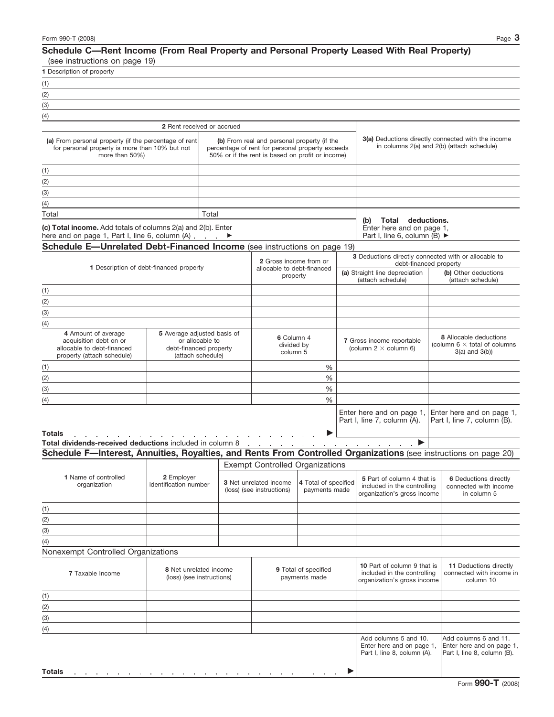## **Schedule C—Rent Income (From Real Property and Personal Property Leased With Real Property)** (see instructions on page 19)

|   |  |  | loce illottantions on baye 12) |  |
|---|--|--|--------------------------------|--|
| . |  |  |                                |  |

| 1 Description of property                                                                                                                                      |                                     |                                       |                                                                                                                                                     |                                                                  |                                                                                           |                                                                                                  |                                                                                          |                                                                                    |                                                                                   |  |
|----------------------------------------------------------------------------------------------------------------------------------------------------------------|-------------------------------------|---------------------------------------|-----------------------------------------------------------------------------------------------------------------------------------------------------|------------------------------------------------------------------|-------------------------------------------------------------------------------------------|--------------------------------------------------------------------------------------------------|------------------------------------------------------------------------------------------|------------------------------------------------------------------------------------|-----------------------------------------------------------------------------------|--|
| (1)                                                                                                                                                            |                                     |                                       |                                                                                                                                                     |                                                                  |                                                                                           |                                                                                                  |                                                                                          |                                                                                    |                                                                                   |  |
| (2)                                                                                                                                                            |                                     |                                       |                                                                                                                                                     |                                                                  |                                                                                           |                                                                                                  |                                                                                          |                                                                                    |                                                                                   |  |
| (3)                                                                                                                                                            |                                     |                                       |                                                                                                                                                     |                                                                  |                                                                                           |                                                                                                  |                                                                                          |                                                                                    |                                                                                   |  |
| (4)                                                                                                                                                            |                                     |                                       |                                                                                                                                                     |                                                                  |                                                                                           |                                                                                                  |                                                                                          |                                                                                    |                                                                                   |  |
|                                                                                                                                                                | 2 Rent received or accrued          |                                       |                                                                                                                                                     |                                                                  |                                                                                           |                                                                                                  |                                                                                          |                                                                                    |                                                                                   |  |
| (a) From personal property (if the percentage of rent<br>for personal property is more than 10% but not<br>more than 50%)                                      |                                     |                                       | (b) From real and personal property (if the<br>percentage of rent for personal property exceeds<br>50% or if the rent is based on profit or income) |                                                                  |                                                                                           | 3(a) Deductions directly connected with the income<br>in columns 2(a) and 2(b) (attach schedule) |                                                                                          |                                                                                    |                                                                                   |  |
| (1)                                                                                                                                                            |                                     |                                       |                                                                                                                                                     |                                                                  |                                                                                           |                                                                                                  |                                                                                          |                                                                                    |                                                                                   |  |
| (2)                                                                                                                                                            |                                     |                                       |                                                                                                                                                     |                                                                  |                                                                                           |                                                                                                  |                                                                                          |                                                                                    |                                                                                   |  |
| (3)                                                                                                                                                            |                                     |                                       |                                                                                                                                                     |                                                                  |                                                                                           |                                                                                                  |                                                                                          |                                                                                    |                                                                                   |  |
| (4)                                                                                                                                                            |                                     |                                       |                                                                                                                                                     |                                                                  |                                                                                           |                                                                                                  |                                                                                          |                                                                                    |                                                                                   |  |
| Total                                                                                                                                                          |                                     | Total                                 |                                                                                                                                                     |                                                                  |                                                                                           |                                                                                                  |                                                                                          |                                                                                    |                                                                                   |  |
| (c) Total income. Add totals of columns 2(a) and 2(b). Enter<br>here and on page 1, Part I, line 6, column $(A)$ $\longrightarrow$                             |                                     |                                       |                                                                                                                                                     |                                                                  |                                                                                           |                                                                                                  | Total deductions.<br>(b)<br>Enter here and on page 1,<br>Part I, line 6, column (B) ►    |                                                                                    |                                                                                   |  |
| Schedule E-Unrelated Debt-Financed Income (see instructions on page 19)                                                                                        |                                     |                                       |                                                                                                                                                     |                                                                  |                                                                                           |                                                                                                  |                                                                                          |                                                                                    |                                                                                   |  |
|                                                                                                                                                                |                                     |                                       |                                                                                                                                                     |                                                                  |                                                                                           |                                                                                                  | 3 Deductions directly connected with or allocable to                                     |                                                                                    |                                                                                   |  |
| 1 Description of debt-financed property                                                                                                                        |                                     |                                       |                                                                                                                                                     | 2 Gross income from or<br>allocable to debt-financed<br>property |                                                                                           |                                                                                                  | debt-financed property<br>(a) Straight line depreciation<br>(attach schedule)            |                                                                                    | (b) Other deductions                                                              |  |
| (1)                                                                                                                                                            |                                     |                                       |                                                                                                                                                     |                                                                  |                                                                                           |                                                                                                  |                                                                                          |                                                                                    | (attach schedule)                                                                 |  |
| (2)                                                                                                                                                            |                                     |                                       |                                                                                                                                                     |                                                                  |                                                                                           |                                                                                                  |                                                                                          |                                                                                    |                                                                                   |  |
| (3)                                                                                                                                                            |                                     |                                       |                                                                                                                                                     |                                                                  |                                                                                           |                                                                                                  |                                                                                          |                                                                                    |                                                                                   |  |
|                                                                                                                                                                |                                     |                                       |                                                                                                                                                     |                                                                  |                                                                                           |                                                                                                  |                                                                                          |                                                                                    |                                                                                   |  |
| (4)<br>4 Amount of average<br>5 Average adjusted basis of<br>or allocable to<br>acquisition debt on or<br>debt-financed property<br>allocable to debt-financed |                                     |                                       | 6 Column 4<br>divided by<br>column 5                                                                                                                |                                                                  |                                                                                           | 7 Gross income reportable<br>(column $2 \times$ column 6)                                        |                                                                                          | 8 Allocable deductions<br>(column $6 \times$ total of columns<br>$3(a)$ and $3(b)$ |                                                                                   |  |
| property (attach schedule)                                                                                                                                     | (attach schedule)                   |                                       |                                                                                                                                                     |                                                                  |                                                                                           |                                                                                                  |                                                                                          |                                                                                    |                                                                                   |  |
| (1)                                                                                                                                                            |                                     |                                       |                                                                                                                                                     | %                                                                |                                                                                           |                                                                                                  |                                                                                          |                                                                                    |                                                                                   |  |
| (2)                                                                                                                                                            |                                     |                                       |                                                                                                                                                     | %                                                                |                                                                                           |                                                                                                  |                                                                                          |                                                                                    |                                                                                   |  |
| (3)                                                                                                                                                            |                                     |                                       |                                                                                                                                                     | %                                                                |                                                                                           |                                                                                                  |                                                                                          |                                                                                    |                                                                                   |  |
| (4)                                                                                                                                                            |                                     |                                       |                                                                                                                                                     |                                                                  | %                                                                                         |                                                                                                  |                                                                                          |                                                                                    |                                                                                   |  |
| Totals<br>Total dividends-received deductions included in column 8                                                                                             |                                     |                                       |                                                                                                                                                     | the company of the company                                       |                                                                                           |                                                                                                  | Enter here and on page 1,<br>Part I, line 7, column (A).<br>$\blacktriangleright$        |                                                                                    | Enter here and on page 1,<br>Part I. line 7. column (B).                          |  |
| Schedule F-Interest, Annuities, Royalties, and Rents From Controlled Organizations (see instructions on page 20)                                               |                                     |                                       |                                                                                                                                                     |                                                                  |                                                                                           |                                                                                                  |                                                                                          |                                                                                    |                                                                                   |  |
|                                                                                                                                                                |                                     |                                       |                                                                                                                                                     | <b>Exempt Controlled Organizations</b>                           |                                                                                           |                                                                                                  |                                                                                          |                                                                                    |                                                                                   |  |
| 1 Name of controlled<br>organization                                                                                                                           | 2 Employer<br>identification number |                                       |                                                                                                                                                     | 3 Net unrelated income<br>(loss) (see instructions)              | 4 Total of specified<br>payments made                                                     |                                                                                                  | 5 Part of column 4 that is<br>included in the controlling<br>organization's gross income |                                                                                    | <b>6</b> Deductions directly<br>connected with income<br>in column 5              |  |
| (1)                                                                                                                                                            |                                     |                                       |                                                                                                                                                     |                                                                  |                                                                                           |                                                                                                  |                                                                                          |                                                                                    |                                                                                   |  |
| (2)                                                                                                                                                            |                                     |                                       |                                                                                                                                                     |                                                                  |                                                                                           |                                                                                                  |                                                                                          |                                                                                    |                                                                                   |  |
| (3)                                                                                                                                                            |                                     |                                       |                                                                                                                                                     |                                                                  |                                                                                           |                                                                                                  |                                                                                          |                                                                                    |                                                                                   |  |
| (4)                                                                                                                                                            |                                     |                                       |                                                                                                                                                     |                                                                  |                                                                                           |                                                                                                  |                                                                                          |                                                                                    |                                                                                   |  |
| Nonexempt Controlled Organizations                                                                                                                             |                                     |                                       |                                                                                                                                                     |                                                                  |                                                                                           |                                                                                                  |                                                                                          |                                                                                    |                                                                                   |  |
| 8 Net unrelated income<br>7 Taxable Income<br>(loss) (see instructions)                                                                                        |                                     | 9 Total of specified<br>payments made |                                                                                                                                                     |                                                                  | 10 Part of column 9 that is<br>included in the controlling<br>organization's gross income |                                                                                                  | 11 Deductions directly<br>connected with income in<br>column 10                          |                                                                                    |                                                                                   |  |
| (1)                                                                                                                                                            |                                     |                                       |                                                                                                                                                     |                                                                  |                                                                                           |                                                                                                  |                                                                                          |                                                                                    |                                                                                   |  |
| (2)                                                                                                                                                            |                                     |                                       |                                                                                                                                                     |                                                                  |                                                                                           |                                                                                                  |                                                                                          |                                                                                    |                                                                                   |  |
| (3)                                                                                                                                                            |                                     |                                       |                                                                                                                                                     |                                                                  |                                                                                           |                                                                                                  |                                                                                          |                                                                                    |                                                                                   |  |
| (4)                                                                                                                                                            |                                     |                                       |                                                                                                                                                     |                                                                  |                                                                                           |                                                                                                  |                                                                                          |                                                                                    |                                                                                   |  |
|                                                                                                                                                                |                                     |                                       |                                                                                                                                                     |                                                                  |                                                                                           |                                                                                                  | Add columns 5 and 10.<br>Enter here and on page 1,<br>Part I, line 8, column (A).        |                                                                                    | Add columns 6 and 11.<br>Enter here and on page 1,<br>Part I, line 8, column (B). |  |
| Totals<br>and the company of the company of                                                                                                                    |                                     |                                       |                                                                                                                                                     |                                                                  |                                                                                           |                                                                                                  |                                                                                          |                                                                                    |                                                                                   |  |